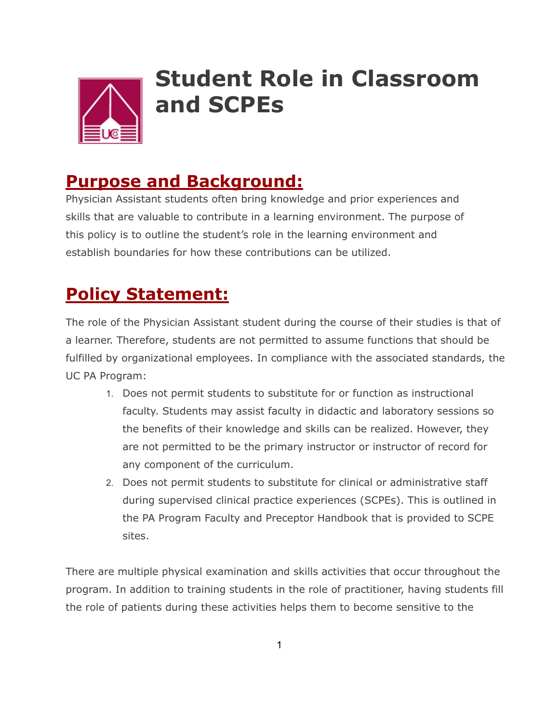

## **Student Role in Classroom and SCPEs**

## **Purpose and Background:**

Physician Assistant students often bring knowledge and prior experiences and skills that are valuable to contribute in a learning environment. The purpose of this policy is to outline the student's role in the learning environment and establish boundaries for how these contributions can be utilized.

## **Policy Statement:**

The role of the Physician Assistant student during the course of their studies is that of a learner. Therefore, students are not permitted to assume functions that should be fulfilled by organizational employees. In compliance with the associated standards, the UC PA Program:

- 1. Does not permit students to substitute for or function as instructional faculty. Students may assist faculty in didactic and laboratory sessions so the benefits of their knowledge and skills can be realized. However, they are not permitted to be the primary instructor or instructor of record for any component of the curriculum.
- 2. Does not permit students to substitute for clinical or administrative staff during supervised clinical practice experiences (SCPEs). This is outlined in the PA Program Faculty and Preceptor Handbook that is provided to SCPE sites.

There are multiple physical examination and skills activities that occur throughout the program. In addition to training students in the role of practitioner, having students fill the role of patients during these activities helps them to become sensitive to the